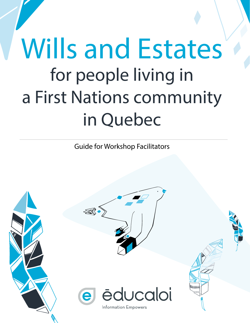# Wills and Estates for people living in a First Nations community in Quebec

Guide for Workshop Facilitators

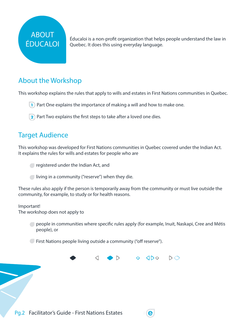## ABOUT ÉDUCALOI

Éducaloi is a non-profit organization that helps people understand the law in Quebec. It does this using everyday language.

### About the Workshop

This workshop explains the rules that apply to wills and estates in First Nations communities in Quebec.

- **1** Part One explains the importance of making a will and how to make one.
- 2 Part Two explains the first steps to take after a loved one dies.

#### Target Audience

This workshop was developed for First Nations communities in Quebec covered under the Indian Act. It explains the rules for wills and estates for people who are

- registered under the Indian Act, and
- $\Box$  living in a community ("reserve") when they die.

These rules also apply if the person is temporarily away from the community or must live outside the community, for example, to study or for health reasons.

#### Important! The workshop does not apply to

**Prople in communities where specific rules apply (for example, Inuit, Naskapi, Cree and Métis** people), or

First Nations people living outside a community ("off reserve").

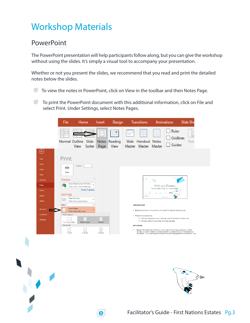# Workshop Materials

#### **PowerPoint**

The PowerPoint presentation will help participants follow along, but you can give the workshop without using the slides. It's simply a visual tool to accompany your presentation.

Whether or not you present the slides, we recommend that you read and print the detailed notes below the slides.

To view the notes in PowerPoint, click on View in the toolbar and then Notes Page.

 To print the PowerPoint document with this additional information, click on File and select Print. Under Settings, select Notes Pages.



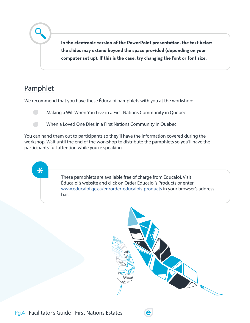**In the electronic version of the PowerPoint presentation, the text below the slides may extend beyond the space provided (depending on your computer set up). If this is the case, try changing the font or font size.** 

#### Pamphlet

 $\bigstar$ 

We recommend that you have these Éducaloi pamphlets with you at the workshop:

**Making a Will When You Live in a First Nations Community in Quebec** 

**When a Loved One Dies in a First Nations Community in Quebec** 

You can hand them out to participants so they'll have the information covered during the workshop. Wait until the end of the workshop to distribute the pamphlets so you'll have the participants' full attention while you're speaking.

> These pamphlets are available free of charge from Éducaloi. Visit Éducaloi's website and click on Order Éducaloi's Products or enter [www.educaloi.qc.ca/en/order-educalois-products](http://www.educaloi.qc.ca/en/order-educalois-products) in your browser's address bar.

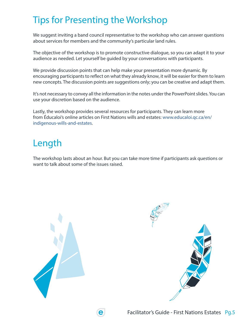# Tips for Presenting the Workshop

We suggest inviting a band council representative to the workshop who can answer questions about services for members and the community's particular land rules.

The objective of the workshop is to promote constructive dialogue, so you can adapt it to your audience as needed. Let yourself be guided by your conversations with participants.

We provide discussion points that can help make your presentation more dynamic. By encouraging participants to reflect on what they already know, it will be easier for them to learn new concepts. The discussion points are suggestions only; you can be creative and adapt them.

It's not necessary to convey all the information in the notes under the PowerPoint slides. You can use your discretion based on the audience.

Lastly, the workshop provides several resources for participants. They can learn more from Éducaloi's online articles on First Nations wills and estates: [www.educaloi.qc.ca/en/](http://www.educaloi.qc.ca/en/) indigenous-wills-and-estates.

## Length

The workshop lasts about an hour. But you can take more time if participants ask questions or want to talk about some of the issues raised.